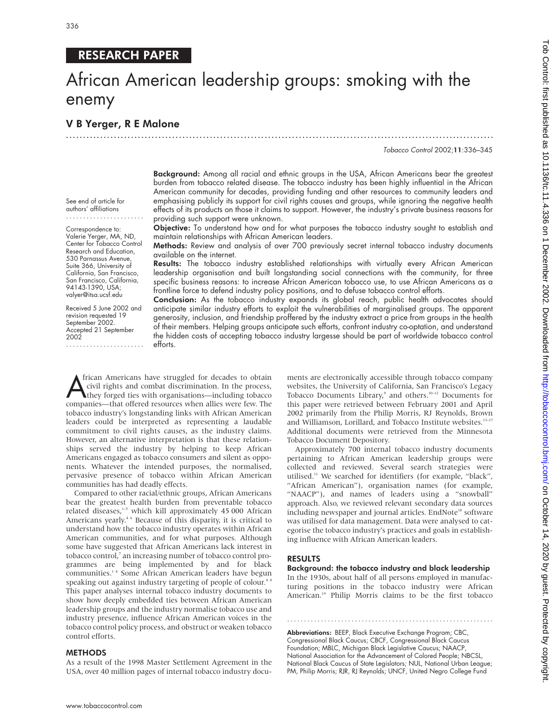# RESEARCH PAPER

# African American leadership groups: smoking with the enemy

.............................................................................................................................

# V B Yerger, R E Malone

Tobacco Control 2002;11:336–345

burden from tobacco related disease. The tobacco industry has been highly influential in the African American community for decades, providing funding and other resources to community leaders and emphasising publicly its support for civil rights causes and groups, while ignoring the negative health effects of its products on those it claims to support. However, the industry's private business reasons for providing such support were unknown.

Background: Among all racial and ethnic groups in the USA, African Americans bear the greatest

Objective: To understand how and for what purposes the tobacco industry sought to establish and maintain relationships with African American leaders.

Methods: Review and analysis of over 700 previously secret internal tobacco industry documents available on the internet.

Results: The tobacco industry established relationships with virtually every African American leadership organisation and built longstanding social connections with the community, for three specific business reasons: to increase African American tobacco use, to use African Americans as a frontline force to defend industry policy positions, and to defuse tobacco control efforts.

Conclusion: As the tobacco industry expands its global reach, public health advocates should anticipate similar industry efforts to exploit the vulnerabilities of marginalised groups. The apparent generosity, inclusion, and friendship proffered by the industry extract a price from groups in the health of their members. Helping groups anticipate such efforts, confront industry co-optation, and understand the hidden costs of accepting tobacco industry largesse should be part of worldwide tobacco control efforts.

Trican Americans have struggled for decades to obtain<br>civil rights and combat discrimination. In the process,<br>they forged ties with organisations—including tobacco<br>companies—that offered resources when allies were few. The frican Americans have struggled for decades to obtain civil rights and combat discrimination. In the process, they forged ties with organisations—including tobacco tobacco industry's longstanding links with African American leaders could be interpreted as representing a laudable commitment to civil rights causes, as the industry claims. However, an alternative interpretation is that these relationships served the industry by helping to keep African Americans engaged as tobacco consumers and silent as opponents. Whatever the intended purposes, the normalised, pervasive presence of tobacco within African American communities has had deadly effects.

Compared to other racial/ethnic groups, African Americans bear the greatest health burden from preventable tobacco related diseases,<sup>1-5</sup> which kill approximately 45 000 African Americans yearly.<sup>46</sup> Because of this disparity, it is critical to understand how the tobacco industry operates within African American communities, and for what purposes. Although some have suggested that African Americans lack interest in tobacco control,<sup>7</sup> an increasing number of tobacco control programmes are being implemented by and for black communities.1 4 Some African American leaders have begun speaking out against industry targeting of people of colour.<sup>48</sup> This paper analyses internal tobacco industry documents to show how deeply embedded ties between African American leadership groups and the industry normalise tobacco use and industry presence, influence African American voices in the tobacco control policy process, and obstruct or weaken tobacco control efforts.

#### **METHODS**

As a result of the 1998 Master Settlement Agreement in the USA, over 40 million pages of internal tobacco industry documents are electronically accessible through tobacco company websites, the University of California, San Francisco's Legacy Tobacco Documents Library,<sup>9</sup> and others.<sup>10–12</sup> Documents for this paper were retrieved between February 2001 and April 2002 primarily from the Philip Morris, RJ Reynolds, Brown and Williamson, Lorillard, and Tobacco Institute websites.<sup>13-17</sup> Additional documents were retrieved from the Minnesota Tobacco Document Depository.

Approximately 700 internal tobacco industry documents pertaining to African American leadership groups were collected and reviewed. Several search strategies were utilised.11 We searched for identifiers (for example, "black", "African American"), organisation names (for example, "NAACP"), and names of leaders using a "snowball" approach. Also, we reviewed relevant secondary data sources including newspaper and journal articles. EndNote<sup>18</sup> software was utilised for data management. Data were analysed to categorise the tobacco industry's practices and goals in establishing influence with African American leaders.

#### RESULTS

Background: the tobacco industry and black leadership In the 1930s, about half of all persons employed in manufacturing positions in the tobacco industry were African American.<sup>19</sup> Philip Morris claims to be the first tobacco

.............................................................

Abbreviations: BEEP, Black Executive Exchange Program; CBC, Congressional Black Caucus; CBCF, Congressional Black Caucus Foundation; MBLC, Michigan Black Legislative Caucus; NAACP, National Association for the Advancement of Colored People; NBCSL, National Black Caucus of State Legislators; NUL, National Urban League; PM, Philip Morris; RJR, RJ Reynolds; UNCF, United Negro College Fund

See end of article for authors' affiliations .......................

Correspondence to: Valerie Yerger, MA, ND, Center for Tobacco Control Research and Education, 530 Parnassus Avenue, Suite 366, University of California, San Francisco, San Francisco, California, 94143-1390, USA; valyer@itsa.ucsf.edu

Received 5 June 2002 and revision requested 19 September 2002. Accepted 21 September 2002 .......................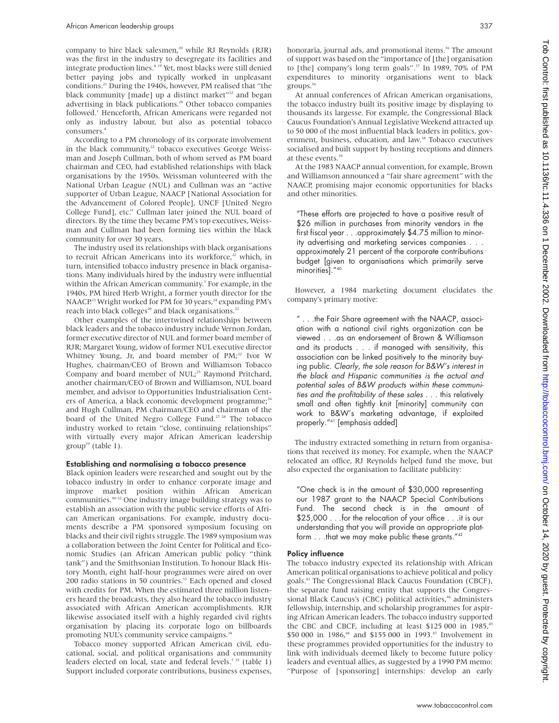company to hire black salesmen,<sup>20</sup> while RJ Reynolds (RJR) was the first in the industry to desegregate its facilities and integrate production lines.4 19 Yet, most blacks were still denied better paying jobs and typically worked in unpleasant conditions.21 During the 1940s, however, PM realised that "the black community [made] up a distinct market"<sup>22</sup> and began advertising in black publications.20 Other tobacco companies followed.<sup>1</sup> Henceforth, African Americans were regarded not only as industry labour, but also as potential tobacco consumers.4

According to a PM chronology of its corporate involvement in the black community, $22$  tobacco executives George Weissman and Joseph Cullman, both of whom served as PM board chairman and CEO, had established relationships with black organisations by the 1950s. Weissman volunteered with the National Urban League (NUL) and Cullman was an "active supporter of Urban League, NAACP [National Association for the Advancement of Colored People], UNCF [United Negro College Fund], etc." Cullman later joined the NUL board of directors. By the time they became PM's top executives, Weissman and Cullman had been forming ties within the black community for over 30 years.

The industry used its relationships with black organisations to recruit African Americans into its workforce,<sup>22</sup> which, in turn, intensified tobacco industry presence in black organisations. Many individuals hired by the industry were influential within the African American community.<sup>3</sup> For example, in the 1940s, PM hired Herb Wright, a former youth director for the NAACP.<sup>23</sup> Wright worked for PM for 30 years,<sup>24</sup> expanding PM's reach into black colleges<sup>20</sup> and black organisations.<sup>22</sup>

Other examples of the intertwined relationships between black leaders and the tobacco industry include Vernon Jordan, former executive director of NUL and former board member of RJR; Margaret Young, widow of former NUL executive director Whitney Young, Jr, and board member of PM;<sup>22</sup> Ivor W Hughes, chairman/CEO of Brown and Williamson Tobacco Company and board member of NUL;<sup>25</sup> Raymond Pritchard, another chairman/CEO of Brown and Williamson, NUL board member, and advisor to Opportunities Industrialisation Centers of America, a black economic development programme;<sup>26</sup> and Hugh Cullman, PM chairman/CEO and chairman of the board of the United Negro College Fund.<sup>27 28</sup> The tobacco industry worked to retain "close, continuing relationships" with virtually every major African American leadership  $group<sup>29</sup> (table 1).$ 

#### Establishing and normalising a tobacco presence

Black opinion leaders were researched and sought out by the tobacco industry in order to enhance corporate image and improve market position within African American communities.30–32 One industry image building strategy was to establish an association with the public service efforts of African American organisations. For example, industry documents describe a PM sponsored symposium focusing on blacks and their civil rights struggle. The 1989 symposium was a collaboration between the Joint Center for Political and Economic Studies (an African American public policy "think tank") and the Smithsonian Institution. To honour Black History Month, eight half-hour programmes were aired on over 200 radio stations in 50 countries.<sup>33</sup> Each opened and closed with credits for PM. When the estimated three million listeners heard the broadcasts, they also heard the tobacco industry associated with African American accomplishments. RJR likewise associated itself with a highly regarded civil rights organisation by placing its corporate logo on billboards promoting NUL's community service campaigns.<sup>34</sup>

Tobacco money supported African American civil, educational, social, and political organisations and community leaders elected on local, state and federal levels.<sup>735</sup> (table 1) Support included corporate contributions, business expenses,

honoraria, journal ads, and promotional items.<sup>36</sup> The amount of support was based on the "importance of [the] organisation to [the] company's long term goals".<sup>37</sup> In 1989, 70% of PM expenditures to minority organisations went to black groups.36

At annual conferences of African American organisations, the tobacco industry built its positive image by displaying to thousands its largesse. For example, the Congressional Black Caucus Foundation's Annual Legislative Weekend attracted up to 50 000 of the most influential black leaders in politics, government, business, education, and law.<sup>38</sup> Tobacco executives socialised and built support by hosting receptions and dinners at these events.<sup>39</sup>

At the 1983 NAACP annual convention, for example, Brown and Williamson announced a "fair share agreement" with the NAACP, promising major economic opportunities for blacks and other minorities.

"These efforts are projected to have a positive result of \$26 million in purchases from minority vendors in the first fiscal year . . .approximately \$4.75 million to minority advertising and marketing services companies... approximately 21 percent of the corporate contributions budget [given to organisations which primarily serve minorities]."40

However, a 1984 marketing document elucidates the company's primary motive:

" . . .the Fair Share agreement with the NAACP, association with a national civil rights organization can be viewed . . .as an endorsement of Brown & Williamson and its products . . . if managed with sensitivity, this association can be linked positively to the minority buying public. Clearly, the sole reason for B&W's interest in the black and Hispanic communities is the actual and potential sales of B&W products within these communities and the profitability of these sales . . . this relatively small and often tightly knit [minority] community can work to B&W's marketing advantage, if exploited properly."41 [emphasis added]

The industry extracted something in return from organisations that received its money. For example, when the NAACP relocated an office, RJ Reynolds helped fund the move, but also expected the organisation to facilitate publicity:

"One check is in the amount of \$30,000 representing our 1987 grant to the NAACP Special Contributions Fund. The second check is in the amount of \$25,000 . . .for the relocation of your office . . .it is our understanding that you will provide an appropriate platform . . .that we may make public these grants."<sup>42</sup>

#### Policy influence

The tobacco industry expected its relationship with African American political organisations to achieve political and policy goals.43 The Congressional Black Caucus Foundation (CBCF), the separate fund raising entity that supports the Congressional Black Caucus's (CBC) political activities,<sup>44</sup> administers fellowship, internship, and scholarship programmes for aspiring African American leaders. The tobacco industry supported the CBC and CBCF, including at least \$125 000 in 1985,<sup>45</sup> \$50 000 in 1986,<sup>46</sup> and \$155 000 in 1993.<sup>47</sup> Involvement in these programmes provided opportunities for the industry to link with individuals deemed likely to become future policy leaders and eventual allies, as suggested by a 1990 PM memo: "Purpose of [sponsoring] internships: develop an early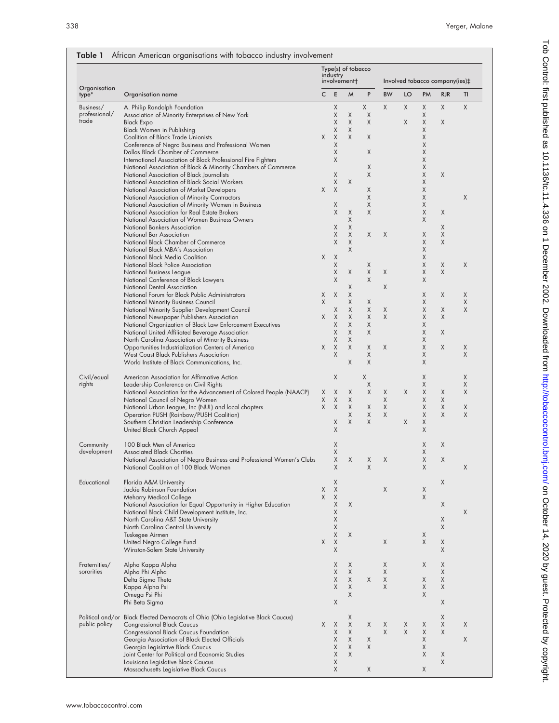| Organisation<br>type*    | Organisation name                                                                                            | Type(s) of tobacco<br>industry<br>involvement+<br>Involved tobacco company(ies)‡ |          |        |        |           |    |             |            |    |
|--------------------------|--------------------------------------------------------------------------------------------------------------|----------------------------------------------------------------------------------|----------|--------|--------|-----------|----|-------------|------------|----|
|                          |                                                                                                              | C                                                                                | Ε        | M      | P      | <b>BW</b> | LO | PM          | <b>RJR</b> | TI |
| Business/                | A. Philip Randolph Foundation                                                                                |                                                                                  | Χ        |        | X      | Χ         | Χ  | $\mathsf X$ | X          | X  |
| professional/<br>trade   | Association of Minority Enterprises of New York                                                              |                                                                                  | Χ        | Χ      | Χ      |           |    | Χ           |            |    |
|                          | <b>Black Expo</b><br>Black Women in Publishing                                                               |                                                                                  | Χ<br>Χ   | X<br>X | X      |           | X  | Χ<br>Χ      | X          |    |
|                          | <b>Coalition of Black Trade Unionists</b>                                                                    | Χ                                                                                | X        | X      | X      |           |    | Χ           |            |    |
|                          | Conference of Negro Business and Professional Women                                                          |                                                                                  | Χ        |        |        |           |    | Χ           |            |    |
|                          | Dallas Black Chamber of Commerce                                                                             |                                                                                  | Χ        |        | X      |           |    | Χ           |            |    |
|                          | International Association of Black Professional Fire Fighters                                                |                                                                                  | X        |        |        |           |    | Χ           |            |    |
|                          | National Association of Black & Minority Chambers of Commerce                                                |                                                                                  | Χ        |        | X<br>X |           |    | Χ<br>Χ      | X          |    |
|                          | National Association of Black Journalists<br>National Association of Black Social Workers                    |                                                                                  | Χ        | X      |        |           |    | Χ           |            |    |
|                          | National Association of Market Developers                                                                    | Χ                                                                                | X        |        | X      |           |    | Χ           |            |    |
|                          | National Association of Minority Contractors                                                                 |                                                                                  |          |        | Χ      |           |    | Χ           |            | X  |
|                          | National Association of Minority Women in Business                                                           |                                                                                  | Χ        |        | X      |           |    | X           |            |    |
|                          | National Association for Real Estate Brokers                                                                 |                                                                                  | Χ        | Χ      | Χ      |           |    | Χ           | X          |    |
|                          | National Association of Women Business Owners<br>National Bankers Association                                |                                                                                  | Χ        | Χ<br>X |        |           |    | Χ           | X          |    |
|                          | National Bar Association                                                                                     |                                                                                  | Χ        | X      | X      | X         |    | Χ           | X          |    |
|                          | National Black Chamber of Commerce                                                                           |                                                                                  | X        | X      |        |           |    | X           | Χ          |    |
|                          | National Black MBA's Association                                                                             |                                                                                  |          | X      |        |           |    | Χ           |            |    |
|                          | National Black Media Coalition                                                                               | X                                                                                | X        |        |        |           |    | X           |            |    |
|                          | National Black Police Association                                                                            |                                                                                  | X        |        | X      |           |    | Χ           | X          | X  |
|                          | National Business League<br>National Conference of Black Lawyers                                             |                                                                                  | Χ<br>Χ   | X      | X<br>X | X         |    | Χ<br>X      | X          |    |
|                          | National Dental Association                                                                                  |                                                                                  |          | Χ      |        | Χ         |    |             |            |    |
|                          | National Forum for Black Public Administrators                                                               | Χ                                                                                | X        | X      |        |           |    | Χ           | X          | Χ  |
|                          | National Minority Business Council                                                                           | X                                                                                |          | Χ      | X      |           |    | X           |            | Χ  |
|                          | National Minority Supplier Development Council                                                               |                                                                                  | Χ        | Χ      | Χ      | X         |    | Χ           | X          | Χ  |
|                          | National Newspaper Publishers Association                                                                    | Χ                                                                                | Χ<br>Χ   | X<br>X | X<br>X | X         |    | Χ<br>Χ      | X          |    |
|                          | National Organization of Black Law Enforcement Executives<br>National United Affiliated Beverage Association |                                                                                  | Χ        | X      | X      |           |    | X           | X          |    |
|                          | North Carolina Association of Minority Business                                                              |                                                                                  | Χ        | X      |        |           |    | Χ           |            |    |
|                          | Opportunities Industrialization Centers of America                                                           | Χ                                                                                | X        | X      | X      | X         |    | Χ           | X          | Χ  |
|                          | West Coast Black Publishers Association                                                                      |                                                                                  | X        |        | Χ      |           |    | X           |            | Χ  |
|                          | World Institute of Black Communications, Inc.                                                                |                                                                                  |          | X      | X      |           |    | Χ           |            |    |
| Civil/equal              | American Association for Affirmative Action                                                                  |                                                                                  | X        |        | Χ      |           |    | X           |            | Χ  |
| rights                   | Leadership Conference on Civil Rights                                                                        |                                                                                  |          |        | Χ      |           |    | Χ           |            | Χ  |
|                          | National Association for the Advancement of Colored People (NAACP)<br>National Council of Negro Women        | Χ<br>Χ                                                                           | X<br>Χ   | X<br>X | X      | X<br>Χ    | X  | Χ<br>Χ      | X<br>X     | X  |
|                          | National Urban League, Inc (NUL) and local chapters                                                          | X                                                                                | $\times$ | X      | X      | X         |    | X           | X          | Χ  |
|                          | Operation PUSH (Rainbow/PUSH Coalition)                                                                      |                                                                                  |          | X      | X      | X         |    | X           | X          | Χ  |
|                          | Southern Christian Leadership Conference                                                                     |                                                                                  | Χ        | Χ      | X      |           | Χ  | Χ           |            |    |
|                          | United Black Church Appeal                                                                                   |                                                                                  | Χ        |        |        |           |    | X           |            |    |
| Community<br>development | 100 Black Men of America                                                                                     |                                                                                  | X        |        |        |           |    | Χ           | X          |    |
|                          | <b>Associated Black Charities</b>                                                                            |                                                                                  | X        |        |        |           |    | X           |            |    |
|                          | National Association of Negro Business and Professional Women's Clubs                                        |                                                                                  | X        | X      | X      | X         |    | Χ           | X          |    |
|                          | National Coalition of 100 Black Women                                                                        |                                                                                  | Χ        |        | X      |           |    | X           |            | Χ  |
| Educational              | Florida A&M University                                                                                       |                                                                                  | Χ        |        |        |           |    |             | X          |    |
|                          | Jackie Robinson Foundation                                                                                   | Χ                                                                                | X        |        |        | X         |    | Χ           |            |    |
|                          | Meharry Medical College                                                                                      | Χ                                                                                | X        |        |        |           |    | X           |            |    |
|                          | National Association for Equal Opportunity in Higher Education                                               |                                                                                  | X        | X      |        |           |    |             | X          |    |
|                          | National Black Child Development Institute, Inc.<br>North Carolina A&T State University                      |                                                                                  | Χ<br>Χ   |        |        |           |    |             | X          | X  |
|                          | North Carolina Central University                                                                            |                                                                                  | X        |        |        |           |    |             | X          |    |
|                          | Tuskegee Airmen                                                                                              |                                                                                  | Χ        | X      |        |           |    | Χ           |            |    |
|                          | United Negro College Fund                                                                                    | Χ                                                                                | X        |        |        | Χ         |    | X           | X          |    |
|                          | Winston-Salem State University                                                                               |                                                                                  | X        |        |        |           |    |             | X          |    |
| Fraternities/            | Alpha Kappa Alpha                                                                                            |                                                                                  | Χ        | Χ      |        | X         |    | Χ           | Χ          |    |
| sororities               | Alpha Phi Alpha                                                                                              |                                                                                  | Χ        | X      |        | Χ         |    |             | X          |    |
|                          | Delta Sigma Theta                                                                                            |                                                                                  | Χ        | X      | X      | X         |    | Χ           | X          |    |
|                          | Kappa Alpha Psi                                                                                              |                                                                                  | X        | X      |        | X         |    | X           | X          |    |
|                          | Omega Psi Phi<br>Phi Beta Sigma                                                                              |                                                                                  | X        | X      |        |           |    | X           | X          |    |
|                          |                                                                                                              |                                                                                  |          |        |        |           |    |             |            |    |
|                          | Political and/or Black Elected Democrats of Ohio (Ohio Legislative Black Caucus)                             |                                                                                  |          | X      |        |           |    |             | X          |    |
| public policy            | <b>Congressional Black Caucus</b>                                                                            | X                                                                                | X        | Χ      | X      | X         | Χ  | Χ           | X          | Χ  |
|                          | <b>Congressional Black Caucus Foundation</b><br>Georgia Association of Black Elected Officials               |                                                                                  | Χ<br>Χ   | X<br>X | Χ      | X         | X  | X<br>Χ      | X          | X  |
|                          | Georgia Legislative Black Caucus                                                                             |                                                                                  | Χ        | X      | X      |           |    | Χ           |            |    |
|                          | Joint Center for Political and Economic Studies                                                              |                                                                                  | Χ        | X      |        |           |    | X           | X          |    |
|                          |                                                                                                              |                                                                                  |          |        |        |           |    |             | X          |    |
|                          | Louisiana Legislative Black Caucus                                                                           |                                                                                  | Χ<br>X   |        |        |           |    |             |            |    |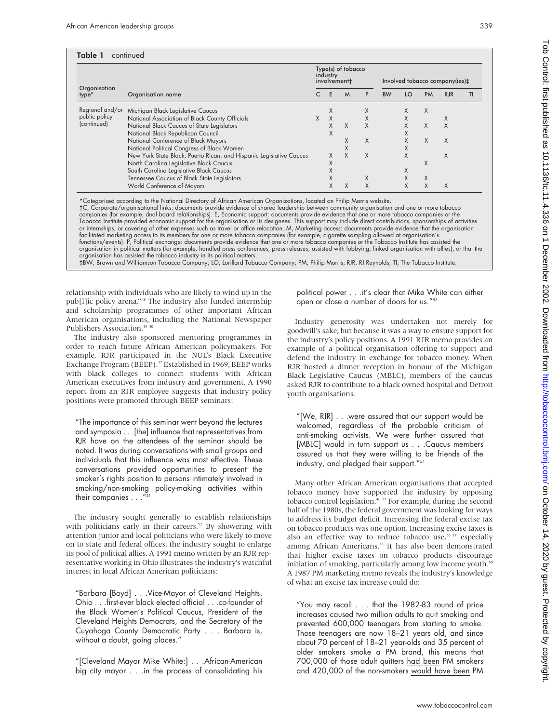| 339                                                                                                                                                                                                  |  |
|------------------------------------------------------------------------------------------------------------------------------------------------------------------------------------------------------|--|
|                                                                                                                                                                                                      |  |
| ‡(ies)<br>R<br>TI                                                                                                                                                                                    |  |
|                                                                                                                                                                                                      |  |
|                                                                                                                                                                                                      |  |
| icco<br>the<br>f activities<br>anisation                                                                                                                                                             |  |
| the<br>), or that the                                                                                                                                                                                |  |
| te.                                                                                                                                                                                                  |  |
| can either                                                                                                                                                                                           |  |
| merely for<br>e support for<br>provides an<br>support and<br>noney. When<br>he Michigan<br>the caucus<br>l and Detroit                                                                               |  |
| would be<br>iticism of<br>ured that<br>members<br>ds of the                                                                                                                                          |  |
| hat accepted<br>by opposing<br>g the second<br>sing for ways<br>al excise tax<br>xcise taxes is<br><sup>57</sup> especially<br>emonstrated<br>discourage<br>ome youth. <sup>59</sup><br>'s knowledge |  |
| d of price                                                                                                                                                                                           |  |

Tob Control: first protected by copyright. 11, 2020 by Guessian and the mage of the first published as 10.1136. Protected by copyright. First published by copyright. The second best as 10.11.4.386 by copyright. This cand Tob Control: first published as 10.1136/tc.11.4.336 on 1 December 2002. Downloaded from http://tobaccocontrol.bmj.com/ on October 14, 2020 by guest. Protected by copyright

"You may recall  $\ldots$  that the 1982-83 round increases caused two million adults to quit smoking and prevented 600,000 teenagers from starting to smoke. Those teenagers are now 18–21 years old, and since about 70 percent of 18–21 year-olds and 35 percent of older smokers smoke a PM brand, this means that 700,000 of those adult quitters had been PM smokers and 420,000 of the non-smokers would have been PM

| Organisation<br>type*        | Organisation name                                                   |   | industry | Type(s) of tobacco<br>involvement+ |   | Involved tobacco company(ies)‡ |    |           |            |    |
|------------------------------|---------------------------------------------------------------------|---|----------|------------------------------------|---|--------------------------------|----|-----------|------------|----|
|                              |                                                                     | C | E        | M                                  | P | <b>BW</b>                      | LO | <b>PM</b> | <b>RJR</b> | TI |
| Regional and/or              | Michigan Black Legislative Caucus                                   |   | X        |                                    | X |                                | X  | X         |            |    |
| public policy<br>(continued) | National Association of Black County Officials                      | X | $\chi$   |                                    | X |                                | X  |           | X          |    |
|                              | National Black Caucus of State Legislators                          |   | X        | $\chi$                             | X |                                | X  | X         | X          |    |
|                              | National Black Republican Council                                   |   | X        |                                    |   |                                | X  |           |            |    |
|                              | National Conference of Black Mayors                                 |   |          | X                                  | X |                                | Χ  | X         | X          |    |
|                              | National Political Congress of Black Women                          |   |          | X                                  |   |                                | X  |           |            |    |
|                              | New York State Black, Puerto Rican, and Hispanic Legislative Caucus |   | X        | X                                  | X |                                | X  |           | X          |    |
|                              | North Carolina Legislative Black Caucus                             |   | Χ        |                                    |   |                                |    | X         |            |    |
|                              | South Carolina Legislative Black Caucus                             |   | X        |                                    |   |                                | X  |           |            |    |
|                              | Tennessee Caucus of Black State Legislators                         |   | X        |                                    | X |                                | X  | X         |            |    |
|                              | World Conference of Mayors                                          |   | X        | X                                  | X |                                | X  | X         | X          |    |

iess to its members for one or more tobacco companies (for example, cigarette sampling allowed at organisation's functions/events). P, Political exchange: documents provide evidence that one or more tobacco companies or the Tobacco Institute has assisted the organisation in political matters (for example, handled press conferences, press releases, assisted with lobbying, linked organisation with allies organisation has assisted the tobacco industry in its political matters.<br>‡BW, Brown and Williamson Tobacco Company; LO, Lorillard Tobacco Company; PM, Philip Morris; RJR, RJ Reynolds; TI, The Tobacco Institute.

relationship with individuals who are likely to wind up in the pub[l]ic policy arena."48 The industry also funded internship and scholarship programmes of other important African American organisations, including the National Newspaper Publishers Association.<sup>49</sup>

The industry also sponsored mentoring programmes in order to reach future African American policymakers. For example, RJR participated in the NUL's Black Executive Exchange Program (BEEP).<sup>37</sup> Established in 1969, BEEP works with black colleges to connect students with African American executives from industry and government. A 1990 report from an RJR employee suggests that industry policy positions were promoted through BEEP seminars:

"The importance of this seminar went beyond the lectures and symposia . . .[the] influence that representatives from RJR have on the attendees of the seminar should be noted. It was during conversations with small groups and individuals that this influence was most effective. These conversations provided opportunities to present the smoker's rights position to persons intimately involved in smoking/non-smoking policy-making activities within their companies . . .'

The industry sought generally to establish relationships with politicians early in their careers.<sup>52</sup> By showering with attention junior and local politicians who were likely to move on to state and federal offices, the industry sought to enlarge its pool of political allies. A 1991 memo written by an RJR representative working in Ohio illustrates the industry's watchful interest in local African American politicians:

"Barbara [Boyd] . . .Vice-Mayor of Cleveland Heights, Ohio . . .first-ever black elected official . . .co-founder of the Black Women's Political Caucus, President of the Cleveland Heights Democrats, and the Secretary of the Cuyahoga County Democratic Party... Barbara is, without a doubt, going places."

"[Cleveland Mayor Mike White:] . . .African-American big city mayor . . .in the process of consolidating his political power . . . it's clear that Mike White open or close a number of doors for us."<sup>53</sup>

Industry generosity was undertaken not goodwill's sake, but because it was a way to ensure the industry's policy positions. A 1991 RJR memo example of a political organisation offering to defend the industry in exchange for tobacco m RJR hosted a dinner reception in honour of th Black Legislative Caucus (MBLC), members of asked RJR to contribute to a black owned hospital youth organisations.

"[We, RJR]  $\ldots$  were assured that our support welcomed, regardless of the probable critic anti-smoking activists. We were further ass [MBLC] would in turn support us . . . Caucus assured us that they were willing to be frien industry, and pledged their support."<sup>54</sup>

Many other African American organisations that tobacco money have supported the industry by opposing tobacco control legislation.<sup>46 55</sup> For example, during the second half of the 1980s, the federal government was look to address its budget deficit. Increasing the feder on tobacco products was one option. Increasing exalso an effective way to reduce tobacco use,<sup>56</sup> among African Americans.<sup>58</sup> It has also been de that higher excise taxes on tobacco products initiation of smoking, particularly among low inco A 1987 PM marketing memo reveals the industry of what an excise tax increase could do: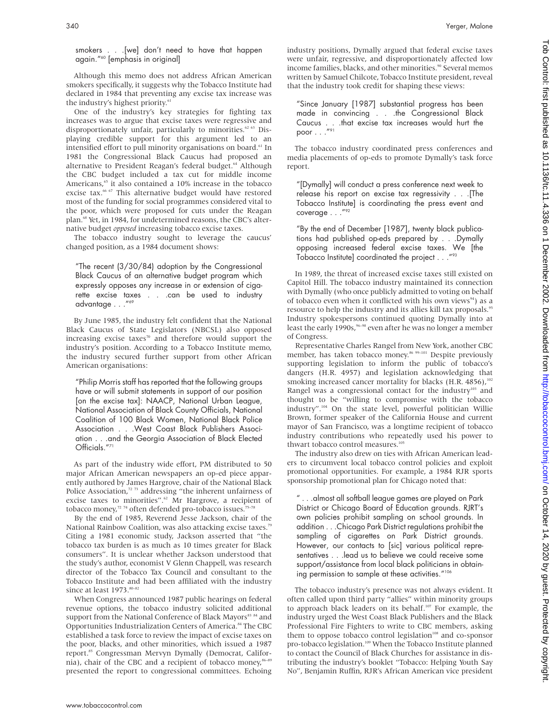smokers . . .[we] don't need to have that happen again."60 [emphasis in original]

Although this memo does not address African American smokers specifically, it suggests why the Tobacco Institute had declared in 1984 that preventing any excise tax increase was the industry's highest priority.<sup>61</sup>

One of the industry's key strategies for fighting tax increases was to argue that excise taxes were regressive and disproportionately unfair, particularly to minorities. $62 63$  Displaying credible support for this argument led to an intensified effort to pull minority organisations on board.<sup>61</sup> In 1981 the Congressional Black Caucus had proposed an alternative to President Reagan's federal budget.<sup>64</sup> Although the CBC budget included a tax cut for middle income Americans,<sup>65</sup> it also contained a 10% increase in the tobacco excise tax.<sup>66 67</sup> This alternative budget would have restored most of the funding for social programmes considered vital to the poor, which were proposed for cuts under the Reagan plan.<sup>68</sup> Yet, in 1984, for undetermined reasons, the CBC's alternative budget *opposed* increasing tobacco excise taxes.

The tobacco industry sought to leverage the caucus' changed position, as a 1984 document shows:

"The recent (3/30/84) adoption by the Congressional Black Caucus of an alternative budget program which expressly opposes any increase in or extension of cigarette excise taxes . . .can be used to industry advantage . . ."69

By June 1985, the industry felt confident that the National Black Caucus of State Legislators (NBCSL) also opposed increasing excise taxes $70$  and therefore would support the industry's position. According to a Tobacco Institute memo, the industry secured further support from other African American organisations:

"Philip Morris staff has reported that the following groups have or will submit statements in support of our position [on the excise tax]: NAACP, National Urban League, National Association of Black County Officials, National Coalition of 100 Black Women, National Black Police Association . . .West Coast Black Publishers Association . . .and the Georgia Association of Black Elected Officials."<sup>71</sup>

As part of the industry wide effort, PM distributed to 50 major African American newspapers an op-ed piece apparently authored by James Hargrove, chair of the National Black Police Association, $72 73$  addressing "the inherent unfairness of excise taxes to minorities".<sup>62</sup> Mr Hargrove, a recipient of tobacco money,<sup>72 74</sup> often defended pro-tobacco issues.<sup>75-78</sup>

By the end of 1985, Reverend Jesse Jackson, chair of the National Rainbow Coalition, was also attacking excise taxes.<sup>79</sup> Citing a 1981 economic study, Jackson asserted that "the tobacco tax burden is as much as 10 times greater for Black consumers". It is unclear whether Jackson understood that the study's author, economist V Glenn Chappell, was research director of the Tobacco Tax Council and consultant to the Tobacco Institute and had been affiliated with the industry since at least 1973.<sup>80-82</sup>

When Congress announced 1987 public hearings on federal revenue options, the tobacco industry solicited additional support from the National Conference of Black Mayors<sup>83 84</sup> and Opportunities Industrialization Centers of America.<sup>84</sup> The CBC established a task force to review the impact of excise taxes on the poor, blacks, and other minorities, which issued a 1987 report.<sup>85</sup> Congressman Mervyn Dymally (Democrat, California), chair of the CBC and a recipient of tobacco money,<sup>86-89</sup> presented the report to congressional committees. Echoing

industry positions, Dymally argued that federal excise taxes were unfair, regressive, and disproportionately affected low income families, blacks, and other minorities.<sup>90</sup> Several memos written by Samuel Chilcote, Tobacco Institute president, reveal that the industry took credit for shaping these views:

"Since January [1987] substantial progress has been made in convincing . . .the Congressional Black Caucus . . .that excise tax increases would hurt the poor  $\dots$ ."91

The tobacco industry coordinated press conferences and media placements of op-eds to promote Dymally's task force report.

"[Dymally] will conduct a press conference next week to release his report on excise tax regressivity . . .[The Tobacco Institute] is coordinating the press event and coverage . . ."92

"By the end of December [1987], twenty black publications had published op-eds prepared by . . .Dymally opposing increased federal excise taxes. We [the Tobacco Institute] coordinated the project . . ."93

In 1989, the threat of increased excise taxes still existed on Capitol Hill. The tobacco industry maintained its connection with Dymally (who once publicly admitted to voting on behalf of tobacco even when it conflicted with his own views $94$ ) as a resource to help the industry and its allies kill tax proposals.<sup>95</sup> Industry spokespersons continued quoting Dymally into at least the early 1990s,  $96-98$  even after he was no longer a member of Congress.

Representative Charles Rangel from New York, another CBC member, has taken tobacco money.<sup>86 99-101</sup> Despite previously supporting legislation to inform the public of tobacco's dangers (H.R. 4957) and legislation acknowledging that smoking increased cancer mortality for blacks (H.R. 4856), $102$ Rangel was a congressional contact for the industry $103$  and thought to be "willing to compromise with the tobacco industry".104 On the state level, powerful politician Willie Brown, former speaker of the California House and current mayor of San Francisco, was a longtime recipient of tobacco industry contributions who repeatedly used his power to thwart tobacco control measures.<sup>10</sup>

The industry also drew on ties with African American leaders to circumvent local tobacco control policies and exploit promotional opportunities. For example, a 1984 RJR sports sponsorship promotional plan for Chicago noted that:

" . . .almost all softball league games are played on Park District or Chicago Board of Education grounds. RJRT's own policies prohibit sampling on school grounds. In addition . . .Chicago Park District regulations prohibit the sampling of cigarettes on Park District grounds. However, our contacts to [sic] various political representatives . . .lead us to believe we could receive some support/assistance from local black politicians in obtaining permission to sample at these activities."106

The tobacco industry's presence was not always evident. It often called upon third party "allies" within minority groups to approach black leaders on its behalf.<sup>107</sup> For example, the industry urged the West Coast Black Publishers and the Black Professional Fire Fighters to write to CBC members, asking them to oppose tobacco control legislation<sup>108</sup> and co-sponsor pro-tobacco legislation.<sup>109</sup> When the Tobacco Institute planned to contact the Council of Black Churches for assistance in distributing the industry's booklet "Tobacco: Helping Youth Say No", Benjamin Ruffin, RJR's African American vice president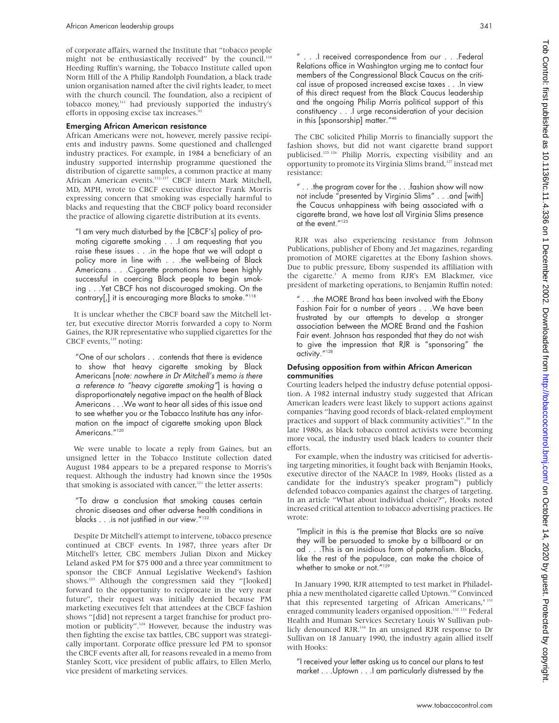of corporate affairs, warned the Institute that "tobacco people might not be enthusiastically received" by the council.<sup>110</sup> Heeding Ruffin's warning, the Tobacco Institute called upon Norm Hill of the A Philip Randolph Foundation, a black trade union organisation named after the civil rights leader, to meet with the church council. The foundation, also a recipient of tobacco money,111 had previously supported the industry's efforts in opposing excise tax increases.<sup>9</sup>

#### Emerging African American resistance

African Americans were not, however, merely passive recipients and industry pawns. Some questioned and challenged industry practices. For example, in 1984 a beneficiary of an industry supported internship programme questioned the distribution of cigarette samples, a common practice at many African American events.<sup>112-117</sup> CBCF intern Mark Mitchell, MD, MPH, wrote to CBCF executive director Frank Morris expressing concern that smoking was especially harmful to blacks and requesting that the CBCF policy board reconsider the practice of allowing cigarette distribution at its events.

"I am very much disturbed by the [CBCF's] policy of promoting cigarette smoking . . .I am requesting that you raise these issues . . .in the hope that we will adopt a policy more in line with . . .the well-being of Black Americans . . .Cigarette promotions have been highly successful in coercing Black people to begin smoking . . .Yet CBCF has not discouraged smoking. On the contrary[,] it is encouraging more Blacks to smoke."118

It is unclear whether the CBCF board saw the Mitchell letter, but executive director Morris forwarded a copy to Norm Gaines, the RJR representative who supplied cigarettes for the CBCF events,<sup>119</sup> noting:

"One of our scholars . . .contends that there is evidence to show that heavy cigarette smoking by Black Americans [note: nowhere in Dr Mitchell's memo is there <sup>a</sup> reference to "heavy cigarette smoking"] is having a disproportionately negative impact on the health of Black Americans . . .We want to hear all sides of this issue and to see whether you or the Tobacco Institute has any information on the impact of cigarette smoking upon Black Americans."<sup>120</sup>

We were unable to locate a reply from Gaines, but an unsigned letter in the Tobacco Institute collection dated August 1984 appears to be a prepared response to Morris's request. Although the industry had known since the 1950s that smoking is associated with cancer,<sup>121</sup> the letter asserts:

"To draw a conclusion that smoking causes certain chronic diseases and other adverse health conditions in blacks . . .is not justified in our view."122

Despite Dr Mitchell's attempt to intervene, tobacco presence continued at CBCF events. In 1987, three years after Dr Mitchell's letter, CBC members Julian Dixon and Mickey Leland asked PM for \$75 000 and a three year commitment to sponsor the CBCF Annual Legislative Weekend's fashion shows.<sup>123</sup> Although the congressmen said they "[looked] forward to the opportunity to reciprocate in the very near future", their request was initially denied because PM marketing executives felt that attendees at the CBCF fashion shows "[did] not represent a target franchise for product promotion or publicity".<sup>124</sup> However, because the industry was then fighting the excise tax battles, CBC support was strategically important. Corporate office pressure led PM to sponsor the CBCF events after all, for reasons revealed in a memo from Stanley Scott, vice president of public affairs, to Ellen Merlo, vice president of marketing services.

. .I received correspondence from our . . .Federal Relations office in Washington urging me to contact four members of the Congressional Black Caucus on the critical issue of proposed increased excise taxes . . .In view of this direct request from the Black Caucus leadership and the ongoing Philip Morris political support of this constituency . . .I urge reconsideration of your decision in this [sponsorship] matter."<sup>46</sup>

The CBC solicited Philip Morris to financially support the fashion shows, but did not want cigarette brand support publicised.<sup>125 126</sup> Philip Morris, expecting visibility and an opportunity to promote its Virginia Slims brand,<sup>127</sup> instead met resistance:

 $"$ ...the program cover for the  $\dots$  fashion show will now not include "presented by Virginia Slims" . . .and [with] the Caucus unhappiness with being associated with a cigarette brand, we have lost all Virginia Slims presence at the event."125

RJR was also experiencing resistance from Johnson Publications, publisher of Ebony and Jet magazines, regarding promotion of MORE cigarettes at the Ebony fashion shows. Due to public pressure, Ebony suspended its affiliation with the cigarette.<sup>3</sup> A memo from RJR's EM Blackmer, vice president of marketing operations, to Benjamin Ruffin noted:

" . . .the MORE Brand has been involved with the Ebony Fashion Fair for a number of years . . .We have been frustrated by our attempts to develop a stronger association between the MORE Brand and the Fashion Fair event. Johnson has responded that they do not wish to give the impression that RJR is "sponsoring" the activity."<sup>128</sup>

#### Defusing opposition from within African American communities

Courting leaders helped the industry defuse potential opposition. A 1982 internal industry study suggested that African American leaders were least likely to support actions against companies "having good records of black-related employment practices and support of black community activities".30 In the late 1980s, as black tobacco control activists were becoming more vocal, the industry used black leaders to counter their efforts.

For example, when the industry was criticised for advertising targeting minorities, it fought back with Benjamin Hooks, executive director of the NAACP. In 1989, Hooks (listed as a candidate for the industry's speaker program<sup>96</sup>) publicly defended tobacco companies against the charges of targeting. In an article "What about individual choice?", Hooks noted increased critical attention to tobacco advertising practices. He wrote:

"Implicit in this is the premise that Blacks are so naïve they will be persuaded to smoke by a billboard or an ad . . .This is an insidious form of paternalism. Blacks, like the rest of the populace, can make the choice of whether to smoke or not."<sup>129</sup>

In January 1990, RJR attempted to test market in Philadelphia a new mentholated cigarette called Uptown.<sup>130</sup> Convinced that this represented targeting of African Americans,<sup>4 131</sup> enraged community leaders organised opposition.<sup>132</sup> <sup>133</sup> Federal Health and Human Services Secretary Louis W Sullivan publicly denounced RJR.134 In an unsigned RJR response to Dr Sullivan on 18 January 1990, the industry again allied itself with Hooks:

"I received your letter asking us to cancel our plans to test market . . .Uptown . . .I am particularly distressed by the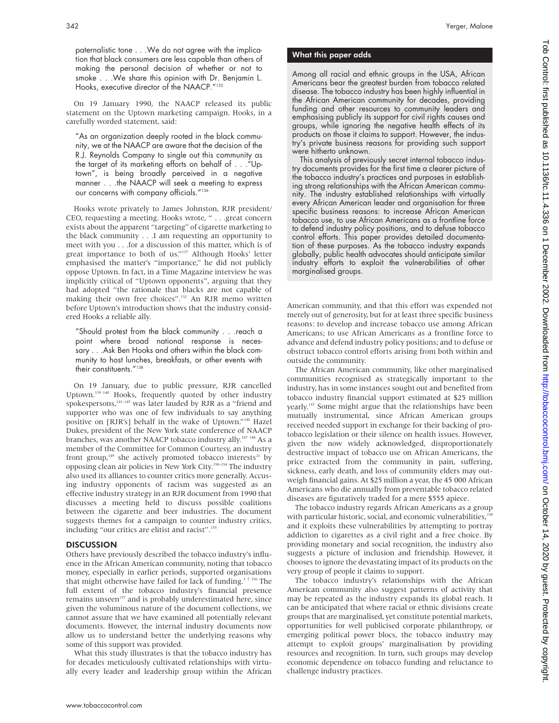paternalistic tone . . .We do not agree with the implication that black consumers are less capable than others of making the personal decision of whether or not to smoke . . .We share this opinion with Dr. Benjamin L. Hooks, executive director of the NAACP."135

On 19 January 1990, the NAACP released its public statement on the Uptown marketing campaign. Hooks, in a carefully worded statement, said:

"As an organization deeply rooted in the black community, we at the NAACP are aware that the decision of the R.J. Reynolds Company to single out this community as the target of its marketing efforts on behalf of . . ."Uptown", is being broadly perceived in a negative manner . . .the NAACP will seek a meeting to express our concerns with company officials."136

Hooks wrote privately to James Johnston, RJR president/ CEO, requesting a meeting. Hooks wrote, " . . .great concern exists about the apparent "targeting" of cigarette marketing to the black community . . .I am requesting an opportunity to meet with you . . .for a discussion of this matter, which is of great importance to both of us."137 Although Hooks' letter emphasised the matter's "importance," he did not publicly oppose Uptown. In fact, in a Time Magazine interview he was implicitly critical of "Uptown opponents", arguing that they had adopted "the rationale that blacks are not capable of making their own free choices".<sup>132</sup> An RJR memo written before Uptown's introduction shows that the industry considered Hooks a reliable ally.

"Should protest from the black community . . .reach a point where broad national response is necessary . . .Ask Ben Hooks and others within the black community to host lunches, breakfasts, or other events with their constituents."<sup>138</sup>

On 19 January, due to public pressure, RJR cancelled Uptown.139 140 Hooks, frequently quoted by other industry spokespersons,<sup>141–145</sup> was later lauded by RJR as a "friend and supporter who was one of few individuals to say anything positive on [RJR's] behalf in the wake of Uptown."146 Hazel Dukes, president of the New York state conference of NAACP branches, was another NAACP tobacco industry ally.<sup>147 148</sup> As a member of the Committee for Common Courtesy, an industry front group,<sup>149</sup> she actively promoted tobacco interests<sup>21</sup> by opposing clean air policies in New York City.150–154 The industry also used its alliances to counter critics more generally. Accusing industry opponents of racism was suggested as an effective industry strategy in an RJR document from 1990 that discusses a meeting held to discuss possible coalitions between the cigarette and beer industries. The document suggests themes for a campaign to counter industry critics, including "our critics are elitist and racist".<sup>155</sup>

#### **DISCUSSION**

Others have previously described the tobacco industry's influence in the African American community, noting that tobacco money, especially in earlier periods, supported organisations that might otherwise have failed for lack of funding.<sup>37 156</sup> The full extent of the tobacco industry's financial presence remains unseen<sup>157</sup> and is probably underestimated here, since given the voluminous nature of the document collections, we cannot assure that we have examined all potentially relevant documents. However, the internal industry documents now allow us to understand better the underlying reasons why some of this support was provided.

What this study illustrates is that the tobacco industry has for decades meticulously cultivated relationships with virtually every leader and leadership group within the African

## What this paper adds

Among all racial and ethnic groups in the USA, African Americans bear the greatest burden from tobacco related disease. The tobacco industry has been highly influential in the African American community for decades, providing funding and other resources to community leaders and emphasising publicly its support for civil rights causes and groups, while ignoring the negative health effects of its products on those it claims to support. However, the industry's private business reasons for providing such support were hitherto unknown.

This analysis of previously secret internal tobacco industry documents provides for the first time a clearer picture of the tobacco industry's practices and purposes in establishing strong relationships with the African American community. The industry established relationships with virtually every African American leader and organisation for three specific business reasons: to increase African American tobacco use, to use African Americans as a frontline force to defend industry policy positions, and to defuse tobacco control efforts. This paper provides detailed documentation of these purposes. As the tobacco industry expands globally, public health advocates should anticipate similar industry efforts to exploit the vulnerabilities of other marginalised groups.

American community, and that this effort was expended not merely out of generosity, but for at least three specific business reasons: to develop and increase tobacco use among African Americans; to use African Americans as a frontline force to advance and defend industry policy positions; and to defuse or obstruct tobacco control efforts arising from both within and outside the community.

The African American community, like other marginalised communities recognised as strategically important to the industry, has in some instances sought out and benefited from tobacco industry financial support estimated at \$25 million yearly.<sup>157</sup> Some might argue that the relationships have been mutually instrumental, since African American groups received needed support in exchange for their backing of protobacco legislation or their silence on health issues. However, given the now widely acknowledged, disproportionately destructive impact of tobacco use on African Americans, the price extracted from the community in pain, suffering, sickness, early death, and loss of community elders may outweigh financial gains. At \$25 million a year, the 45 000 African Americans who die annually from preventable tobacco related diseases are figuratively traded for a mere \$555 apiece.

The tobacco industry regards African Americans as a group with particular historic, social, and economic vulnerabilities,<sup>15</sup> and it exploits these vulnerabilities by attempting to portray addiction to cigarettes as a civil right and a free choice. By providing monetary and social recognition, the industry also suggests a picture of inclusion and friendship. However, it chooses to ignore the devastating impact of its products on the very group of people it claims to support.

The tobacco industry's relationships with the African American community also suggest patterns of activity that may be repeated as the industry expands its global reach. It can be anticipated that where racial or ethnic divisions create groups that are marginalised, yet constitute potential markets, opportunities for well publicised corporate philanthropy, or emerging political power blocs, the tobacco industry may attempt to exploit groups' marginalisation by providing resources and recognition. In turn, such groups may develop economic dependence on tobacco funding and reluctance to challenge industry practices.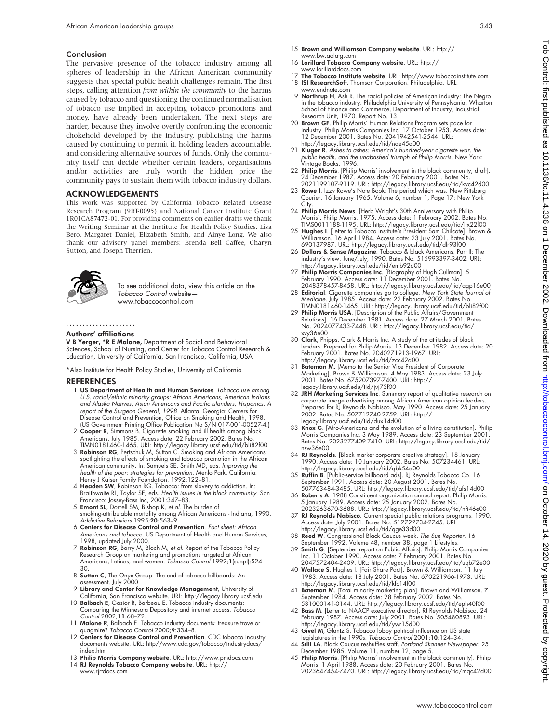#### Conclusion

The pervasive presence of the tobacco industry among all spheres of leadership in the African American community suggests that special public health challenges remain. The first steps, calling attention *from within the community* to the harms caused by tobacco and questioning the continued normalisation of tobacco use implied in accepting tobacco promotions and money, have already been undertaken. The next steps are harder, because they involve overtly confronting the economic chokehold developed by the industry, publicising the harms caused by continuing to permit it, holding leaders accountable, and considering alternative sources of funds. Only the community itself can decide whether certain leaders, organisations and/or activities are truly worth the hidden price the community pays to sustain them with tobacco industry dollars.

### ACKNOWLEDGEMENTS

This work was supported by California Tobacco Related Disease Research Program (9RT-0095) and National Cancer Institute Grant 1R01CA87472-01. For providing comments on earlier drafts we thank the Writing Seminar at the Institute for Health Policy Studies, Lisa Bero, Margaret Daniel, Elizabeth Smith, and Ainye Long. We also thank our advisory panel members: Brenda Bell Caffee, Charyn Sutton, and Joseph Therrien.



To see additional data, view this article on the Tobacco Control website www.tobaccocontrol.com

## .....................

#### Authors' affiliations

V B Yerger, \*R E Malone, Department of Social and Behavioral Sciences, School of Nursing, and Center for Tobacco Control Research & Education, University of California, San Francisco, California, USA

\*Also Institute for Health Policy Studies, University of California

#### REFERENCES

- 1 US Department of Health and Human Services. Tobacco use among U.S. racial/ethnic minority groups: African Americans, American Indians and Alaska Natives, Asian Americans and Pacific Islanders, Hispanics. A report of the Surgeon General, 1998. Atlanta, Georgia: Centers for Disease Control and Prevention, Office on Smoking and Health, 1998. (US Government Printing Office Publication No S/N 017-001-00527-4.)
- 2 Cooper R, Simmons B. Cigarette smoking and ill health among black Americans. July 1985. Access date: 22 February 2002. Bates No. TIMN0181460-1465. URL: http://legacy.library.ucsf.edu/tid/bli82f00
- 3 Robinson RG, Pertschuk M, Sutton C. Smoking and African Americans: spotlighting the effects of smoking and tobacco promotion in the African American community. In: Samuels SE, Smith MD, eds. Improving the health of the poor: strategies for prevention. Menlo Park, California: Henry J Kaiser Family Foundation, 1992:122–81.
- 4 Headen SW, Robinson RG. Tobacco: from slavery to addiction. In: Braithwaite RL, Taylor SE, eds. Health issues in the black community. San Francisco: Jossey-Bass Inc, 2001:347–83.
- 5 Emont SL, Dorrell SM, Bishop K, et al. The burden of smoking-attributable mortality among African Americans - Indiana, 1990. Addictive Behaviors 1995;20:563–9.
- 6 Centers for Disease Control and Prevention. Fact sheet: African Americans and tobacco. US Department of Health and Human Services; 1998, updated July 2000.
- 7 Robinson RG, Barry M, Bloch M, et al. Report of the Tobacco Policy Research Group on marketing and promotions targeted at Atrican<br>Americans, Latinos, and women. *Tobacco Control* 1992;**1**(suppl):S24– 30.
- 8 Sutton C, The Onyx Group. The end of tobacco billboards: An assessment. July 2000.
- 9 Library and Center for Knowledge Management, University of California, San Francisco website. URL: http://legacy.library.ucsf.edu 10 Balbach E, Gasior R, Barbeau E. Tobacco industry documents:
- Comparing the Minnesota Depository and internet access. Tobacco Control 2002;11:68–72.
- 11 Malone R, Balbach E. Tobacco industry documents: treasure trove or quagmire? Tobacco Control 2000;9:334–8.
- 12 Centers for Disease Control and Prevention. CDC tobacco industry documents website. URL: http//www.cdc.gov/tobacco/industrydocs/ index.htm
- 13 Philip Morris Company website. URL: http://www.pmdocs.com 14 RJ Reynolds Tobacco Company website. URL: http:// www.rjrtdocs.com
- 15 Brown and Williamson Company website. URL: http:// www.bw.aalatg.com
- 16 Lorillard Tobacco Company website. URL: http:// www.lorillarddocs.com
- 17 The Tobacco Institute website. URL: http://www.tobaccoinstitute.com
- 18 ISI ResearchSoft. Thomson Corporation. Philadelphia. URL:
- www.endnote.com 19 Northrup H, Ash R. The racial policies of American industry: The Negro in the tobacco industry. Philadelphia University of Pennsylvania, Wharton School of Finance and Commerce, Department of Industry, Industrial Research Unit, 1970. Report No. 13.
- 20 Brown GF. Philip Morris' Human Relations Program sets pace for industry. Philip Morris Companies Inc. 17 October 1953. Access date: 12 December 2001. Bates No. 2041942541-2544. URL: http://legacy.library.ucsf.edu/tid/nqe45d00
- 21 Kluger R. Ashes to ashes: America's hundred-year cigarette war, the public health, and the unabashed triumph of Philip Morris. New York: Vintage Books, 1996.
- 22 **Philip Morris**. [Philip Morris' involvement in the black community, draft].<br>2021 December 1987. Access date: 20 February 2001. Bates No.<br>2021 199107-9119. URL: http://legacy.library.ucsf.edu/tid/kyc42d00<br>23 **Rowe I**. I
- Courier. 16 January 1965. Volume 6, number 1, Page 17: New York City.
- 24 Philip Morris News. [Herb Wright's 30th Anniversary with Philip Morris]. Philip Morris. 1975. Access date: 1 February 2002. Bates No.<br>TIMS0011188-1195. URL: http://legacy.library.ucsf.edu/tid/ltx22f00<br>25 **Hughes I**. [Letter to Tobacco Institute's President Sam Chilcote]. Brown &
- Williamson. 16 April 1984. Access date: 23 July 2001. Bates No. 690137987. URL: http://legacy.library.ucsf.edu/tid/dlr93f00
- 26 Dollars & Sense Magazine. Tobacco & black Americans, Part II: The industry's view. June/July, 1990. Bates No. 515993397-3402. URL: http://legacy.library.ucsf.edu/tid/emb92d00
- 27 Philip Morris Companies Inc. [Biography of Hugh Cullman]. 5
- February 1990. Access date: 11 December 2001. Bates No.<br>2048378457-8458. URL: http://legacy.library.ucsf.edu/tid/agp16e00<br>28 **Editorial**. Cigarette companies go to college. New York State Journal of<br>Medicine. July 1985. Ac TIMN0181460-1465. URL: http://legacy.library.ucsf.edu/tid/bli82f00
- 29 Philip Morris USA. [Description of the Public Affairs/Government Relations]. 16 December 1981. Access date: 27 March 2001. Bates No. 2024077433-7448. URL: http://legacy.library.ucsf.edu/tid/ xvy36e00
- 30 Clark, Phipps, Clark & Harris Inc. A study of the attitudes of black leaders. Prepared for Philip Morris. 13 December 1982. Access date: 20 February 2001. Bates No. 2040271913-1967. URL: http://legacy.library.ucsf.edu/tid/zcc42d00
- 31 Bateman M. [Memo to the Senior Vice President of Corporate Marketing]. Brown & Williamson. 4 May 1983. Access date: 23 July 2001. Bates No. 675207397-7400. URL: http:// legacy.library.ucsf.edu/tid/jvj73f00
- 32 JRH Marketing Services Inc. Summary report of qualitative research on corporate image advertising among African American opinion leaders. Prepared for RJ Reynolds Nabisco. May 1990. Access date: 25 January 2002. Bates No. 507712740-2759. URL: http:// legacy.library.ucsf.edu/tid/dux14d00
- 33 Knox G. [Afro-Americans and the evolution of a living constitution]. Philip Morris Companies Inc. 3 May 1989. Access date: 23 September 2001. Bates No. 2023277409-7410. URL: http://legacy.library.ucsf.edu/tid/ nsw36e00
- 34 **RJ Reynolds**. [Black market corporate creative strategy]. 18 January<br>1990. Access date: 10 January 2002. Bates No. 507234461. URL:<br>http://legacy.library.ucsf.edu/tid/qbk54d00<br>**Ruffin B**. [Public-service billboard ads].
- September 1991. Access date: 20 August 2001. Bates No. 507763484-3485. URL: http://legacy.library.ucsf.edu/tid/afs14d00
- 36 **Roberts A**. 1988 Constituent organization annual report. Philip Morris.<br>5 January 1989. Access date: 25 January 2002. Bates No.<br>2023263670-3688. URL: http://legacy.library.ucsf.edu/tid/nfi46e00
- 37 RJ Reynolds Nabisco. Current special public relations programs. 1990. Access date: July 2001. Bates No. 512722734-2745. URL: http://legacy.library.ucsf.edu/tid/qge33d00
- 38 Reed W. Congressional Black Caucus week. The Sun Reporter. 16 September 1992. Volume 48, number 38, page 1 Lifestyles.
- 39 Smith G. [September report on Public Affairs]. Philip Morris Companies Inc. 11 October 1990. Access date: 7 February 2001. Bates No. 2047572404-2409. URL: http://legacy.library.ucsf.edu/tid/uqb72e00
- 40 Wallace S, Hughes I. [Fair Share Pact]. Brown & Williamson. 11 July 1983. Access date: 18 July 2001. Bates No. 670221966-1973. URL: http://legacy.library.ucsf.edu/tid/kfc14f00
- 41 Bateman M. [Total minority marketing plan]. Brown and Williamson. 7 September 1984. Access date: 28 February 2002. Bates No.
- 531000141-0144. URL: http://legacy.library.ucsf.edu/tid/eph40f00<br>**42 Bass M**. [Lelter to NAACP executive director]. RJ Reynolds Nabisco. 24<br>February 1987. Access date: July 2001. Bates No. 505480893. URL:<br>http://legacy.lib
- 
- 43 Givel M, Glantz S. Tobacco lobby political influence on US state<br>legislatures in the 1990s. *Tobacco Control* 2001;10:124–34.<br>44 Still LA. Black Caucus reshuffles staff. *Portland Skanner Newspaper*. 25
- December 1985. Volume 11, number 12, page 5.<br>45 **Philip Morris**. [Philip Morris' involvement in the black community]. Philip Morris. 1 April 1988. Access date: 20 February 2001. Bates No. 2023647454-7470. URL: http://legacy.library.ucsf.edu/tid/mqc42d00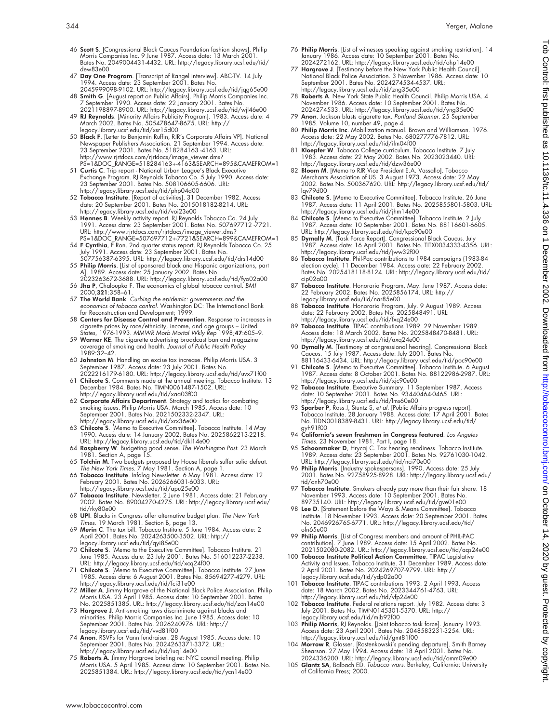- 46 Scott S. [Congressional Black Caucus Foundation fashion shows]. Philip Morris Companies Inc. 9 June 1987. Access date: 13 March 2001. Bates No. 2049004431-4432. URL: http://legacy.library.ucsf.edu/tid/ dew83e00
- 47 Day One Program. [Transcript of Rangel interview]. ABC-TV. 14 July 1994. Access date: 23 September 2001. Bates No. 2045999098-9102. URL: http://legacy.library.ucsf.edu/tid/jqg65e00
- 48 Smith G. [August report on Public Affairs]. Philip Morris Companies Inc.
- 7 September 1990. Access date: 22 January 2001. Bates No.<br>2021198897-8900. URL: http://legacy.library.ucsf.edu/tid/wi|46e00<br>4**9 RI Reynolds.** [Minority Affairs Publicity Program]. 1983. Access date: 4<br>March 2002. Bates No. legacy.library.ucsf.edu/tid/xsr15d00
- 50 Black F. [Letter to Benjamin Ruffin, RJR's Corporate Affairs VP]. National Newspaper Publishers Association. 21 September 1994. Access date:<br>23 September 2001. Bates No. 518284163 -4163. URL:<br>http://www.rjrdocs.com/rjrtdocs/image\_viewer.dms?<br>PS=1&DOC\_RANGE=518284163+-4163&SEARCH=895&CAMEFROM=1
- 51 **Curtis C**. Trip report National Urban League's Black Executive<br>Exchange Program. RJ Reynolds Tobacco Co. 5 July 1990. Access date:<br>23 September 2001. Bates No. 508106605-6606. URL:<br>http://legacy.library.ucsf.edu/tid/
- date: 20 September 2001. Bates No. 2015018182-8214. URL: http://legacy.library.ucsf.edu/tid/voi23e00
- 53 **Hennes B.** Weekly activity report. RJ Reynolds Tobacco Co. 24 July<br>1991. Access date: 23 September 2001. Bates No. 507697712-7721.<br>URL: http://www.rirtdocs.com/rirtdocs/image\_viewer.dms?<br>PS=1&DOC\_RANGE=507697712+-7721&
- 
- 54 **F Cynthia**, F Ron. 2nd quarter status report. RJ Reynolds Tobacco Co. 25<br>July 1991. Access date: 23 September 2001. Bates No.<br>507756387-6395. URL: http://legacy.library.ucsf.edu/itd/drs14d00<br>55 **Philip Morris**. [List o
- 2023263672-3688. URL: http://legacy.library.ucsf.edu/tid/fyo02a00 56 Jha P, Chaloupka F. The economics of global tobacco control. BMJ 2000;321:358–61.
- 57 The World Bank. Curbing the epidemic: governments and the economics of tobacco control. Washington DC: The International Bank
- for Reconstruction and Development; 1999 58 Centers for Disease Control and Prevention. Response to increases in
- cigarette prices by race/ethnicity, income, and age groups United<br>States, 1976-1993. MMWR Morb Mortal Wkly Rep 1998;**47**:605–9.<br>59 **Warner KE**. The cigarette advertising broadcast ban and magazine coverage of smoking and health. Journal of Public Health Policy 1989:32–42.
- 60 Johnston M. Handling an excise tax increase. Philip Morris USA. 3 September 1987. Access date: 23 July 2001. Bates No.
- 2022216179-6180. URL: http://legacy.library.ucsf.edu/tid/uvx71f00 61 Chilcote S. Comments made at the annual meeting. Tobacco Institute. 13 December 1984. Bates No. TIMN0061487-1502. URL: http://legacy.library.ucsf.edu/tid/xaa03f00
- 62 Corporate Affairs Department. Strategy and tactics for combating smoking issues. Philip Morris USA. March 1985. Access date: 10 September 2001. Bates No. 2021502332-2347. URL: http://legacy.library.ucsf.edu/tid/xrx36e00
- 63 Chilcote S. [Memo to Executive Committee]. Tobacco Institute. 14 May 1990. Access date: 14 January 2002. Bates No. 2025862213-2218. URL: http://legacy.library.ucsf.edu/tid/dkl14e00
- 64 Raspberry W. Budgeting good sense. The Washington Post. 23 March 1981. Section A, page 15.
- 65 Tolchin M. Two budgets proposed by House liberals suffer solid defeat.
- The New York Times. 7 May 1981. Section A, page 1.<br>66 **Tobacco Institute**. Infolog Newsletter. 6 May 1981. Access date: 12<br>February 2001. Bates No. 2026266031-6033. URL: http://legacy.library.ucsf.edu/tid/apu25e00
- 67 Tobacco Institute. Newsletter. 2 June 1981. Access date: 21 February 2002. Bates No. 89004270-4275. URL: http://legacy.library.ucsf.edu/ tid/rky80e00
- 68 UPI. Blacks in Congress offer alternative budget plan. The New York Times. 19 March 1981. Section B, page 13.
- 69 Merin C. The tax bill. Tobacco Institute. 5 June 1984. Access date: 2<br>April 2001. Bates No. 2024263500-3502. URL: http://<br>legacy.library.ucsf.edu/tid/qyi85e00<br>T0 Chilcote S. [Memo to the Executive Committee]. Tobacco In
- June 1985. Access date: 23 July 2001. Bates No. 516012237-2238. URL: http://legacy.library.ucsf.edu/tid/xcq24f00
- 71 Chilcote S. [Memo to Executive Committee]. Tobacco Institute. 27 June 1985. Access date: 6 August 2001. Bates No. 85694277-4279. URL: http://legacy.library.ucsf.edu/tid/fci31e00
- 72 Miller A. Jimmy Hargrove of the National Black Police Association. Philip Morris USA. 23 April 1985. Access date: 10 September 2001. Bates No. 2025851385. URL: http://legacy.library.ucsf.edu/tid/zcn14e00
- 73 Hargrove J. Anti-smoking laws discriminate against blacks and minorities. Philip Morris Companies Inc. June 1985. Access date: 10 September 2001. Bates No. 2026240976. URL: http:// legacy.library.ucsf.edu/tid/vvd81f00
- 74 Anon. RSVPs for Vann fundraiser. 28 August 1985. Access date: 10 September 2001. Bates No. 2024263371-3372. URL:
- http://legacy.library.ucsf.edu/tid/iuq14e00<br>75 **Roberts A**. Jimmy Hargrove briefing re: NYC council meeting. Philip<br>Morris USA. 5 April 1985. Access date: 10 September 2001. Bates No. 2025851384. URL: http://legacy.library.ucsf.edu/tid/ycn14e00
- 76 Philip Morris. [List of witnesses speaking against smoking restriction]. 14 January 1986. Access date: 10 September 2001. Bates No. 2024272162. URL: http://legacy.library.ucsf.edu/tid/ohp14e00
- 77 Hargrove J. [Testimony before the New York Public Health Council]. National Black Police Association. 3 November 1986. Access date: 10 September 2001. Bates No. 2024274534-4537. URL: http://legacy.library.ucsf.edu/tid/zng35e00
- 78 Roberts A. New York State Public Health Council. Philip Morris USA. 4 November 1986. Access date: 10 September 2001. Bates No.
- 2024274533. URL: http://legacy.library.ucsf.edu/tid/yng35e00 79 Anon. Jackson blasts cigarette tax. Portland Skanner. 25 September 1985. Volume 10, number 49, page 4.
- 80 Philip Morris Inc. Mobilization manual. Brown and Williamson. 1976. Access date: 22 May 2002. Bates No. 680277776-7812. URL: http://legacy.library.ucsf.edu/tid/ifm04f00
- 81 Kloepfer W. Tobacco College curriculum. Tobacco Institute. 7 July 1983. Access date: 22 May 2002. Bates No. 2023023440. URL: http://legacy.library.ucsf.edu/tid/dzw36e00
- 82 **Bloom M**. [Memo to RJR Vice President E.A. Vassallo]. Tobacco<br>Merchants Association of US. 3 August 1973. Access date: 22 May<br>2002. Bates No. 500367620. URL: http://legacy.library.ucsf.edu/tid/ lqv79d00
- 83 Chilcote S. [Memo to Executive Committee]. Tobacco Institute. 26 June 1987. Access date: 11 April 2001. Bates No. 2025855801-5803. URL: http://legacy.library.ucsf.edu/tid/jhm14e00
- 84 Chilcote S. [Memo to Executive Committee]. Tobacco Institute. 2 July<br>1987. Access date: 10 September 2001. Bates No. 88116601-6605.<br>URL: http://legacy.library.ucsf.edu/tid/kpc90e00<br>85 **Dymally M**. [Task Force Report]. C
- 1987. Access date: 16 April 2001. Bates No. TITX0034333-4356. URL:
- http://legacy.library.ucsf.edu/tid/jww32f00<br>86 Tobacco Institute. Phil-Pac contributions to 1984 campaigns (1983-84<br>election cycle). 11 December 1984. Access date: 22 February 2002.<br>Bates No. 2025418118-8124. URL: http://l cip02a00
- 87 **Tobacco Institute**. Honoraria Program, May. June 1987. Access date:<br>22 February 2002. Bates No. 2025856174. URL: http://<br>legacy.library.ucsf.edu/tid/nar85e00
- 88 Tobacco Institute. Honoraria Program, July. 9 August 1989. Access date: 22 February 2002. Bates No. 2025848491. URL:
- http://legacy.library.ucsf.edu/tid/txq24e00<br>.89 **Tobacco Institute**. TIPAC contributions 1989. 29 November 1989<br>.Access date: 18 March 2002. Bates No. 2025848470-8481. URL: http://legacy.library.ucsf.edu/tid/axq24e00
- 90 Dymally M. [Testimony at congressional hearing]. Congressional Black Caucus. 15 July 1987. Access date: July 2001. Bates No.
- 88116433-6434. URL: http://legacy.library.ucsf.edu/tid/poc90e00<br>91 **Chilcote S**. [Memo to Executive Committee]. Tobacco Institute. 6 August<br>1987. Access date: 8 October 2001. Bates No. 88122986-2987. URL: http://legacy.library.ucsf.edu/tid/xjc90e00
- 92 Tobacco Institute. Executive Summary. 11 September 1987. Access date: 10 September 2001. Bates No. 93440464-0465. URL:
- http://legacy.library.ucsf.edu/tid/lms60e00<br>93 **Sparber P**, Ross J, Stuntz S, *et al.* [Public Affairs progress report].<br>Tobacco Institute. 28 January 1988. Access date: 17 April 2001. Bates No. TIDN0018389-8431. URL: http://legacy.library.ucsf.edu/tid/ gyh91f00
- 
- 94 California's seven freshmen in Congress featured. Los Angeles<br>Times. 23 November 1981. Part I, page 18.<br>95 Schoomanker D, Hyrcqi C. Tax hearing readiness. Tobacco Institute.<br>1989. Access date: 23 September 2001. Bates N
- URL: http://legacy.library.ucsf.edu/tid/nci70e00<br>96 **Philip Morris**. [Industry spokespersons]. 1990. Access date: 25 July<br>2001. Bates No. 92758925-8928. URL: http://legacy.library.ucsf.edu/ tid/onh70e00
- 97 Tobacco Institute. Smokers already pay more than their fair share. 18 November 1993. Access date: 10 September 2001. Bates No.
- 89735140. URL: http://legacy.library.ucsf.edu/tid/gve01e00 98 Lee D. [Statement before the Ways & Means Committee]. Tobacco Institute. 18 November 1993. Access date: 20 September 2001. Bates No. 2046926765-6771. URL: http://legacy.library.ucsf.edu/tid/ ofn65e00
- 99 Philip Morris. [List of Congress members and amount of PHIL-PAC contribution]. 7 June 1989. Access date: 15 April 2002. Bates No. 2021502080-2082. URL: http://legacy.library.ucsf.edu/tid/aqs24e00
- 100 Tobacco Institute Political Action Committee. TIPAC Legislative Activity and Issues. Tobacco Institute. 31 December 1989. Access date: 2 April 2001. Bates No. 2024269707-9799. URL: http:// legacy.library.ucsf.edu/tid/ydp02a00
- 101 Tobacco Institute. TIPAC contributions 1993. 2 April 1993. Access date: 18 March 2002. Bates No. 2023344761-4763. URL: http://legacy.library.ucsf.edu/tid/vfp24e00
- 102 Tobacco Institute. Federal relations report. July 1982. Access date: 3 July 2001. Bates No. TIMN0145301-5370. URL: http:// legacy.library.ucsf.edu/tid/mjb92f00
- 103 Philip Morris, RJ Reynolds. [Joint tobacco task force]. January 1993. Access date: 23 April 2001. Bates No. 2048583231-3254. URL: http://legacy.library.ucsf.edu/tid/gmt81f00
- 104 Morrow R, Glasser. [Rostenkowski's pending departure]. Smith Barney<br>Shearson. 27 May 1994. Access date: 18 April 2001. Bates No.<br>2024336200. URL: http://legacy.library.ucsf.edu/tid/omm09e00<br>105 **Glantz SA**, Balbach ED.
- of California Press; 2000.